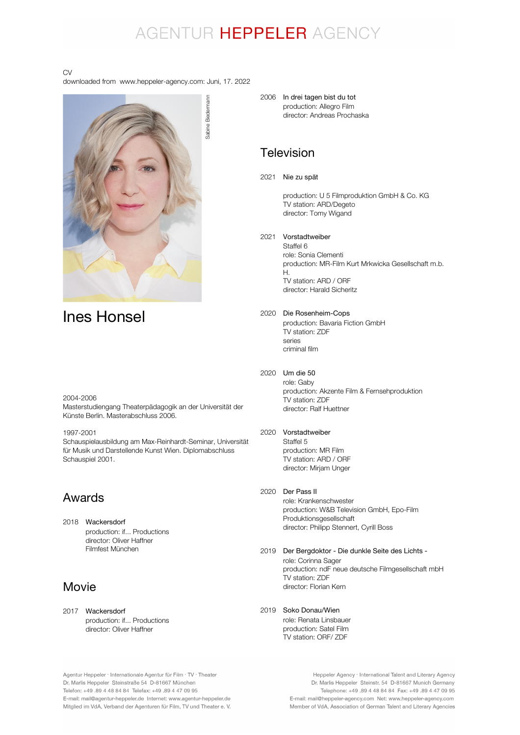## AGENTUR HEPPELER AGENCY

#### CV

downloaded from www.heppeler-agency.com: Juni, 17. 2022



## Ines Honsel

#### 2004-2006

Masterstudiengang Theaterpädagogik an der Universität der Künste Berlin. Masterabschluss 2006.

1997-2001

Schauspielausbildung am Max-Reinhardt-Seminar, Universität für Musik und Darstellende Kunst Wien. Diplomabschluss Schauspiel 2001.

## Awards

2018 Wackersdorf production: if... Productions director: Oliver Haffner Filmfest München

## Movie

2017 Wackersdorf production: if... Productions director: Oliver Haffner

2006 In drei tagen bist du tot production: Allegro Film director: Andreas Prochaska

### Television

2021 Nie zu spät

production: U 5 Filmproduktion GmbH & Co. KG TV station: ARD/Degeto director: Tomy Wigand

#### 2021 Vorstadtweiber

Staffel 6 role: Sonia Clementi production: MR-Film Kurt Mrkwicka Gesellschaft m.b. H. TV station: ARD / ORF director: Harald Sicheritz

#### 2020 Die Rosenheim-Cops production: Bavaria Fiction GmbH TV station: ZDF series criminal film

#### 2020 Um die 50

role: Gaby production: Akzente Film & Fernsehproduktion TV station: ZDF director: Ralf Huettner

#### 2020 Vorstadtweiber

Staffel 5 production: MR Film TV station: ARD / ORF director: Mirjam Unger

#### 2020 Der Pass II

role: Krankenschwester production: W&B Television GmbH, Epo-Film Produktionsgesellschaft director: Philipp Stennert, Cyrill Boss

2019 Der Bergdoktor - Die dunkle Seite des Lichts role: Corinna Sager production: ndF neue deutsche Filmgesellschaft mbH TV station: ZDF director: Florian Kern

### 2019 Soko Donau/Wien

role: Renata Linsbauer production: Satel Film TV station: ORF/ ZDF

Agentur Heppeler · Internationale Agentur für Film · TV · Theater Dr. Marlis Heppeler Steinstraße 54 D-81667 München Telefon: +49.89 4 48 84 84 Telefax: +49.89 4 47 09 95 E-mail: mail@agentur-heppeler.de Internet: www.agentur-heppeler.de Mitglied im VdA, Verband der Agenturen für Film, TV und Theater e. V.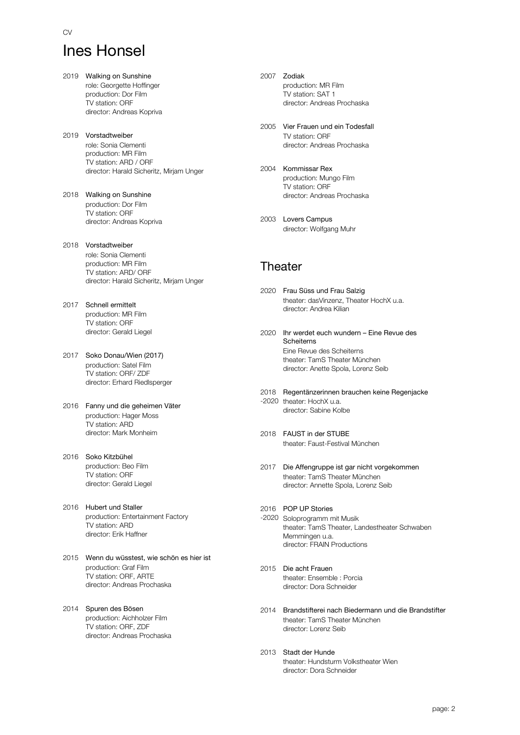# Ines Honsel

CV

- 2019 Walking on Sunshine role: Georgette Hoffinger production: Dor Film TV station: ORF director: Andreas Kopriva 2019 Vorstadtweiber role: Sonia Clementi production: MR Film TV station: ARD / ORF director: Harald Sicheritz, Mirjam Unger 2018 Walking on Sunshine production: Dor Film TV station: ORF director: Andreas Kopriva 2018 Vorstadtweiber role: Sonia Clementi production: MR Film TV station: ARD/ ORF director: Harald Sicheritz, Mirjam Unger 2017 Schnell ermittelt production: MR Film TV station: ORF director: Gerald Liegel 2017 Soko Donau/Wien (2017) production: Satel Film TV station: ORF/ ZDF director: Erhard Riedlsperger 2016 Fanny und die geheimen Väter production: Hager Moss
- director: Mark Monheim 2016 Soko Kitzbühel production: Beo Film TV station: ORF

TV station: ARD

- director: Gerald Liegel 2016 Hubert und Staller
- production: Entertainment Factory TV station: ARD director: Erik Haffner
- 2015 Wenn du wüsstest, wie schön es hier ist production: Graf Film TV station: ORF, ARTE director: Andreas Prochaska
- 2014 Spuren des Bösen production: Aichholzer Film TV station: ORF, ZDF director: Andreas Prochaska
- 2007 Zodiak production: MR Film TV station: SAT 1 director: Andreas Prochaska
- 2005 Vier Frauen und ein Todesfall TV station: ORF director: Andreas Prochaska
- 2004 Kommissar Rex production: Mungo Film TV station: ORF director: Andreas Prochaska
- 2003 Lovers Campus director: Wolfgang Muhr

## **Theater**

- 2020 Frau Süss und Frau Salzig theater: dasVinzenz, Theater HochX u.a. director: Andrea Kilian
- 2020 Ihr werdet euch wundern Eine Revue des Eine Revue des Scheiterns theater: TamS Theater München director: Anette Spola, Lorenz Seib Scheiterns
- 2018 Regentänzerinnen brauchen keine Regenjacke -2020 theater: HochX u.a. director: Sabine Kolbe
- 2018 FAUST in der STUBE theater: Faust-Festival München
- 2017 Die Affengruppe ist gar nicht vorgekommen theater: TamS Theater München director: Annette Spola, Lorenz Seib
- 2016 POP UP Stories -2020 Soloprogramm mit Musik theater: TamS Theater, Landestheater Schwaben Memmingen u.a. director: FRAIN Productions
- 2015 Die acht Frauen theater: Ensemble : Porcia director: Dora Schneider
- 2014 Brandstifterei nach Biedermann und die Brandstifter theater: TamS Theater München director: Lorenz Seib
- 2013 Stadt der Hunde theater: Hundsturm Volkstheater Wien director: Dora Schneider